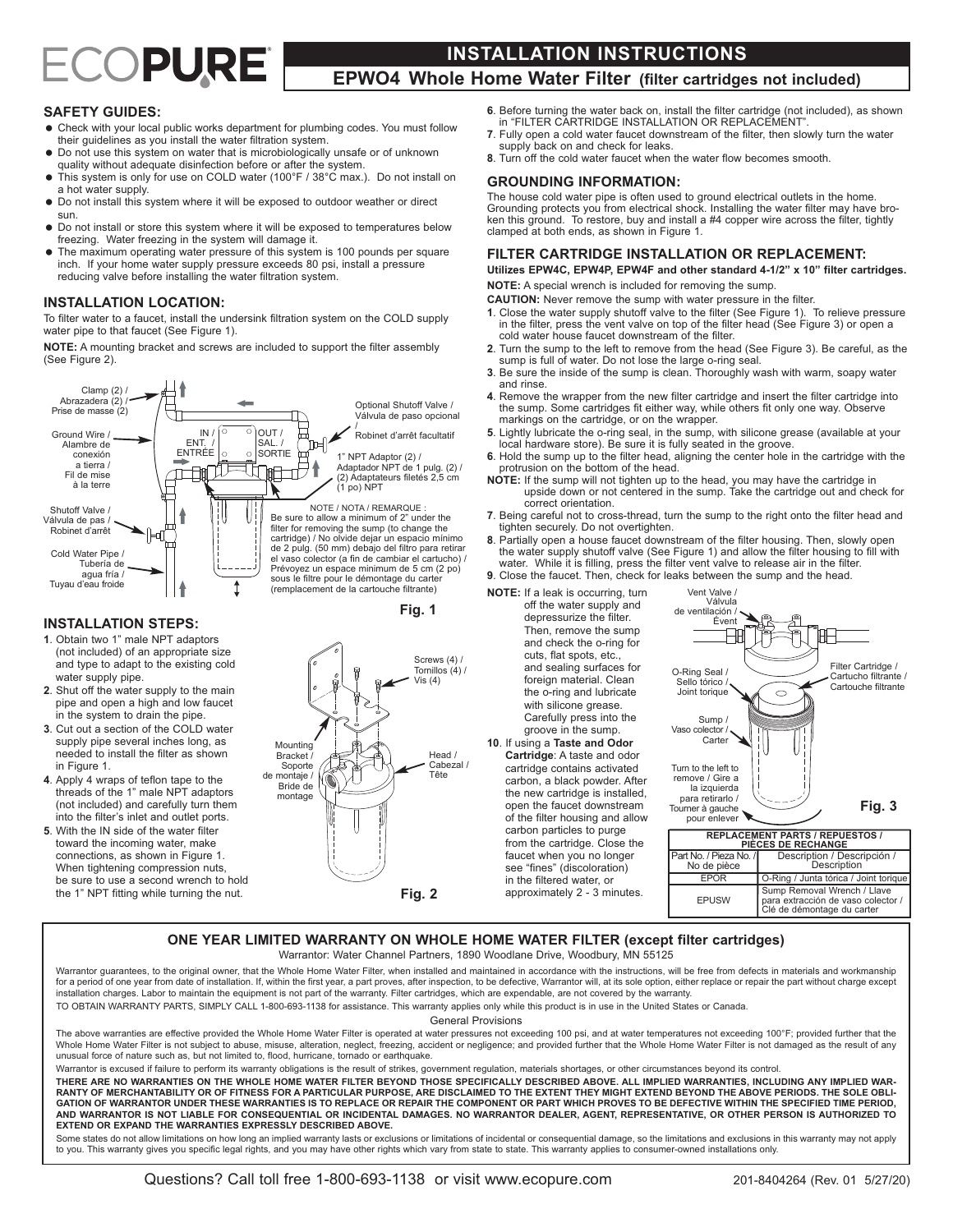# ECOPURE

# **INSTALLATION INSTRUCTIONS**

# **EPWO4 Whole Home Water Filter (filter cartridges not included)**

# **SAFETY GUIDES:**

- Check with your local public works department for plumbing codes. You must follow their guidelines as you install the water filtration system.
- Do not use this system on water that is microbiologically unsafe or of unknown quality without adequate disinfection before or after the system.
- This system is only for use on COLD water (100°F / 38°C max.). Do not install on a hot water supply.
- $\bullet$  Do not install this system where it will be exposed to outdoor weather or direct sun.
- = Do not install or store this system where it will be exposed to temperatures below freezing. Water freezing in the system will damage it.
- The maximum operating water pressure of this system is 100 pounds per square inch. If your home water supply pressure exceeds 80 psi, install a pressure reducing valve before installing the water filtration system.

#### **INSTALLATION LOCATION:**

To filter water to a faucet, install the undersink filtration system on the COLD supply water pipe to that faucet (See Figure 1).

**NOTE:** A mounting bracket and screws are included to support the filter assembly (See Figure 2).





(not included) and carefully turn them into the filter's inlet and outlet ports. **5**. With the IN side of the water filter toward the incoming water, make connections, as shown in Figure 1. When tightening compression nuts, be sure to use a second wrench to hold

the 1" NPT fitting while turning the nut.

**INSTALLATION STEPS:**

water supply pipe.

in Figure 1.

**Fig. 2**

- **6**. Before turning the water back on, install the filter cartridge (not included), as shown in "FILTER CARTRIDGE INSTALLATION OR REPLACEMENT".
- **7**. Fully open a cold water faucet downstream of the filter, then slowly turn the water supply back on and check for leaks.
- **8**. Turn off the cold water faucet when the water flow becomes smooth.

#### **GROUNDING INFORMATION:**

The house cold water pipe is often used to ground electrical outlets in the home. Grounding protects you from electrical shock. Installing the water filter may have broken this ground. To restore, buy and install a #4 copper wire across the filter, tightly clamped at both ends, as shown in Figure 1.

#### **FILTER CARTRIDGE INSTALLATION OR REPLACEMENT:**

**Utilizes EPW4C, EPW4P, EPW4F and other standard 4-1/2" x 10" filter cartridges. NOTE:** A special wrench is included for removing the sump.

**CAUTION:** Never remove the sump with water pressure in the filter.

- **1**. Close the water supply shutoff valve to the filter (See Figure 1). To relieve pressure in the filter, press the vent valve on top of the filter head (See Figure 3) or open a cold water house faucet downstream of the filter.
- **2**. Turn the sump to the left to remove from the head (See Figure 3). Be careful, as the sump is full of water. Do not lose the large o-ring seal.
- **3**. Be sure the inside of the sump is clean. Thoroughly wash with warm, soapy water and rinse.
- **4**. Remove the wrapper from the new filter cartridge and insert the filter cartridge into the sump. Some cartridges fit either way, while others fit only one way. Observe markings on the cartridge, or on the wrapper.
- **5**. Lightly lubricate the o-ring seal, in the sump, with silicone grease (available at your local hardware store). Be sure it is fully seated in the groove.
- **6**. Hold the sump up to the filter head, aligning the center hole in the cartridge with the protrusion on the bottom of the head.
- **NOTE:** If the sump will not tighten up to the head, you may have the cartridge in upside down or not centered in the sump. Take the cartridge out and check for correct orientation.
- **7**. Being careful not to cross-thread, turn the sump to the right onto the filter head and tighten securely. Do not overtighten.

**8**. Partially open a house faucet downstream of the filter housing. Then, slowly open the water supply shutoff valve (See Figure 1) and allow the filter housing to fill with water. While it is filling, press the filter vent valve to release air in the filter.

> Vent Valve / Válvula de ventilación / Évent

**9**. Close the faucet. Then, check for leaks between the sump and the head.

**NOTE:** If a leak is occurring, turn off the water supply and depressurize the filter. Then, remove the sump and check the o-ring for cuts, flat spots, etc.,

and sealing surfaces for foreign material. Clean the o-ring and lubricate with silicone grease. Carefully press into the groove in the sump. **10**. If using a **Taste and Odor Cartridge**: A taste and odor cartridge contains activated

open the faucet downstream

carbon particles to purge from the cartridge. Close the faucet when you no longer see "fines" (discoloration) in the filtered water, or approximately 2 - 3 minutes.



| <b>REPLACEMENT PARTS / REPUESTOS /</b><br>PIÈCES DE RECHANGE |                                                                                                 |
|--------------------------------------------------------------|-------------------------------------------------------------------------------------------------|
| l Part No. / Pieza No. /l<br>No de pièce                     | Description / Descripción /<br>Description                                                      |
| <b>FPOR</b>                                                  | O-Ring / Junta tórica / Joint torique                                                           |
| <b>FPUSW</b>                                                 | Sump Removal Wrench / Llave<br>para extracción de vaso colector /<br>Clé de démontage du carter |

# **ONE YEAR LIMITED WARRANTY ON WHOLE HOME WATER FILTER (except filter cartridges)**

Warrantor: Water Channel Partners, 1890 Woodlane Drive, Woodbury, MN 55125

Warrantor guarantees, to the original owner, that the Whole Home Water Filter, when installed and maintained in accordance with the instructions, will be free from defects in materials and workmanship for a period of one year from date of installation. If, within the first year, a part proves, after inspection, to be defective, Warrantor will, at its sole option, either replace or repair the part without charge except installation charges. Labor to maintain the equipment is not part of the warranty. Filter cartridges, which are expendable, are not covered by the warranty. TO OBTAIN WARRANTY PARTS, SIMPLY CALL 1-800-693-1138 for assistance. This warranty applies only while this product is in use in the United States or Canada.

General Provisions

The above warranties are effective provided the Whole Home Water Filter is operated at water pressures not exceeding 100 psi, and at water temperatures not exceeding 100°F; provided further that the Whole Home Water Filter is not subject to abuse, misuse, alteration, neglect, freezing, accident or negligence; and provided further that the Whole Home Water Filter is not damaged as the result of any unusual force of nature such as, but not limited to, flood, hurricane, tornado or earthquake.

Warrantor is excused if failure to perform its warranty obligations is the result of strikes, government regulation, materials shortages, or other circumstances beyond its control.

THERE ARE NO WARRANTIES ON THE WHOLE HOME WATER FILTER BEYOND THOSE SPECIFICALLY DESCRIBED ABOVE. ALL IMPLIED WARRANTIES, INCLUDING ANY IMPLIED WAR-RANTY OF MERCHANTABILITY OR OF FITNESS FOR A PARTICULAR PURPOSE, ARE DISCLAIMED TO THE EXTENT THEY MIGHT EXTEND BEYOND THE ABOVE PERIODS. THE SOLE OBLI-GATION OF WARRANTOR UNDER THESE WARRANTIES IS TO REPLACE OR REPAIR THE COMPONENT OR PART WHICH PROVES TO BE DEFECTIVE WITHIN THE SPECIFIED TIME PERIOD,<br>AND WARRANTOR IS NOT LIABLE FOR CONSEQUENTIAL OR INCIDENTAL DAMAGES. N **EXTEND OR EXPAND THE WARRANTIES EXPRESSLY DESCRIBED ABOVE.**

Some states do not allow limitations on how long an implied warranty lasts or exclusions or limitations of incidental or consequential damage, so the limitations and exclusions in this warranty may not apply to you. This warranty gives you specific legal rights, and you may have other rights which vary from state to state. This warranty applies to consumer-owned installations only.